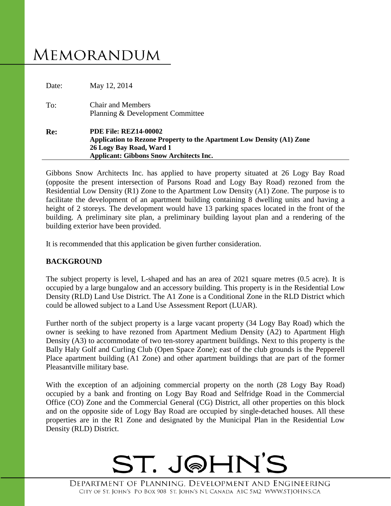# **MEMORANDUM**

| Date: | May 12, 2014                                                                                                                                                                        |
|-------|-------------------------------------------------------------------------------------------------------------------------------------------------------------------------------------|
| To:   | <b>Chair and Members</b><br>Planning & Development Committee                                                                                                                        |
| Re:   | <b>PDE File: REZ14-00002</b><br>Application to Rezone Property to the Apartment Low Density (A1) Zone<br>26 Logy Bay Road, Ward 1<br><b>Applicant: Gibbons Snow Architects Inc.</b> |

Gibbons Snow Architects Inc. has applied to have property situated at 26 Logy Bay Road (opposite the present intersection of Parsons Road and Logy Bay Road) rezoned from the Residential Low Density (R1) Zone to the Apartment Low Density (A1) Zone. The purpose is to facilitate the development of an apartment building containing 8 dwelling units and having a height of 2 storeys. The development would have 13 parking spaces located in the front of the building. A preliminary site plan, a preliminary building layout plan and a rendering of the building exterior have been provided.

It is recommended that this application be given further consideration.

## **BACKGROUND**

The subject property is level, L-shaped and has an area of 2021 square metres (0.5 acre). It is occupied by a large bungalow and an accessory building. This property is in the Residential Low Density (RLD) Land Use District. The A1 Zone is a Conditional Zone in the RLD District which could be allowed subject to a Land Use Assessment Report (LUAR).

Further north of the subject property is a large vacant property (34 Logy Bay Road) which the owner is seeking to have rezoned from Apartment Medium Density (A2) to Apartment High Density (A3) to accommodate of two ten-storey apartment buildings. Next to this property is the Bally Haly Golf and Curling Club (Open Space Zone); east of the club grounds is the Pepperell Place apartment building (A1 Zone) and other apartment buildings that are part of the former Pleasantville military base.

With the exception of an adjoining commercial property on the north (28 Logy Bay Road) occupied by a bank and fronting on Logy Bay Road and Selfridge Road in the Commercial Office (CO) Zone and the Commercial General (CG) District, all other properties on this block and on the opposite side of Logy Bay Road are occupied by single-detached houses. All these properties are in the R1 Zone and designated by the Municipal Plan in the Residential Low Density (RLD) District.

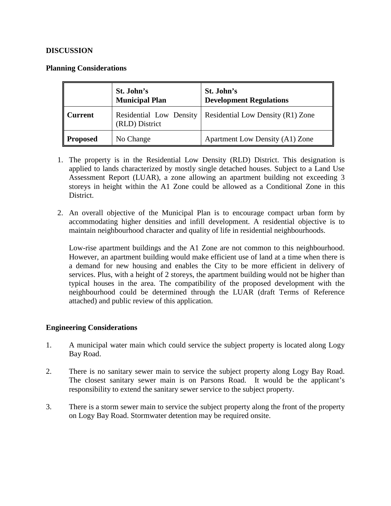### **DISCUSSION**

#### **Planning Considerations**

|                 | St. John's<br><b>Municipal Plan</b>       | St. John's<br><b>Development Regulations</b> |
|-----------------|-------------------------------------------|----------------------------------------------|
| <b>Current</b>  | Residential Low Density<br>(RLD) District | Residential Low Density (R1) Zone            |
| <b>Proposed</b> | No Change                                 | <b>Apartment Low Density (A1) Zone</b>       |

- 1. The property is in the Residential Low Density (RLD) District. This designation is applied to lands characterized by mostly single detached houses. Subject to a Land Use Assessment Report (LUAR), a zone allowing an apartment building not exceeding 3 storeys in height within the A1 Zone could be allowed as a Conditional Zone in this District.
- 2. An overall objective of the Municipal Plan is to encourage compact urban form by accommodating higher densities and infill development. A residential objective is to maintain neighbourhood character and quality of life in residential neighbourhoods.

Low-rise apartment buildings and the A1 Zone are not common to this neighbourhood. However, an apartment building would make efficient use of land at a time when there is a demand for new housing and enables the City to be more efficient in delivery of services. Plus, with a height of 2 storeys, the apartment building would not be higher than typical houses in the area. The compatibility of the proposed development with the neighbourhood could be determined through the LUAR (draft Terms of Reference attached) and public review of this application.

#### **Engineering Considerations**

- 1. A municipal water main which could service the subject property is located along Logy Bay Road.
- 2. There is no sanitary sewer main to service the subject property along Logy Bay Road. The closest sanitary sewer main is on Parsons Road. It would be the applicant's responsibility to extend the sanitary sewer service to the subject property.
- 3. There is a storm sewer main to service the subject property along the front of the property on Logy Bay Road. Stormwater detention may be required onsite.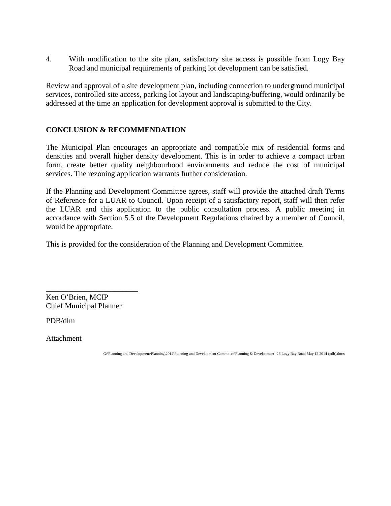4. With modification to the site plan, satisfactory site access is possible from Logy Bay Road and municipal requirements of parking lot development can be satisfied.

Review and approval of a site development plan, including connection to underground municipal services, controlled site access, parking lot layout and landscaping/buffering, would ordinarily be addressed at the time an application for development approval is submitted to the City.

## **CONCLUSION & RECOMMENDATION**

The Municipal Plan encourages an appropriate and compatible mix of residential forms and densities and overall higher density development. This is in order to achieve a compact urban form, create better quality neighbourhood environments and reduce the cost of municipal services. The rezoning application warrants further consideration.

If the Planning and Development Committee agrees, staff will provide the attached draft Terms of Reference for a LUAR to Council. Upon receipt of a satisfactory report, staff will then refer the LUAR and this application to the public consultation process. A public meeting in accordance with Section 5.5 of the Development Regulations chaired by a member of Council, would be appropriate.

This is provided for the consideration of the Planning and Development Committee.

\_\_\_\_\_\_\_\_\_\_\_\_\_\_\_\_\_\_\_\_\_\_\_\_ Ken O'Brien, MCIP Chief Municipal Planner

PDB/dlm

Attachment

G:\Planning and Development\Planning\2014\Planning and Development Committee\Planning & Development -26 Logy Bay Road May 12 2014 (pdb).docx